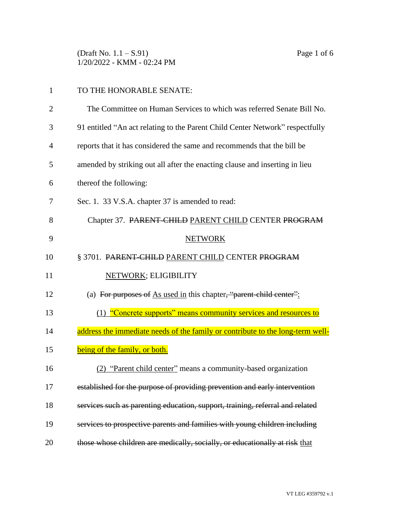(Draft No. 1.1 – S.91) Page 1 of 6 1/20/2022 - KMM - 02:24 PM

| $\mathbf{1}$   | TO THE HONORABLE SENATE:                                                       |
|----------------|--------------------------------------------------------------------------------|
| $\overline{2}$ | The Committee on Human Services to which was referred Senate Bill No.          |
| 3              | 91 entitled "An act relating to the Parent Child Center Network" respectfully  |
| $\overline{4}$ | reports that it has considered the same and recommends that the bill be        |
| 5              | amended by striking out all after the enacting clause and inserting in lieu    |
| 6              | thereof the following:                                                         |
| 7              | Sec. 1. 33 V.S.A. chapter 37 is amended to read:                               |
| 8              | Chapter 37. PARENT CHILD PARENT CHILD CENTER PROGRAM                           |
| 9              | <b>NETWORK</b>                                                                 |
| 10             | § 3701. PARENT-CHILD PARENT CHILD CENTER PROGRAM                               |
| 11             | NETWORK; ELIGIBILITY                                                           |
| 12             | (a) For purposes of $\Delta s$ used in this chapter, "parent-child center":    |
| 13             | (1) "Concrete supports" means community services and resources to              |
| 14             | address the immediate needs of the family or contribute to the long-term well- |
| 15             | being of the family, or both.                                                  |
| 16             | (2) "Parent child center" means a community-based organization                 |
| 17             | established for the purpose of providing prevention and early intervention     |
| 18             | services such as parenting education, support, training, referral and related  |
| 19             | services to prospective parents and families with young children including     |
| 20             | those whose children are medically, socially, or educationally at risk that    |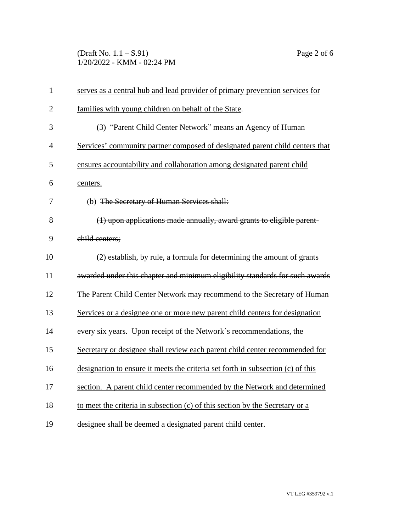(Draft No. 1.1 – S.91) Page 2 of 6 1/20/2022 - KMM - 02:24 PM

| $\mathbf{1}$   | serves as a central hub and lead provider of primary prevention services for    |
|----------------|---------------------------------------------------------------------------------|
| $\overline{2}$ | families with young children on behalf of the State.                            |
| 3              | (3) "Parent Child Center Network" means an Agency of Human                      |
| $\overline{4}$ | Services' community partner composed of designated parent child centers that    |
| 5              | ensures accountability and collaboration among designated parent child          |
| 6              | centers.                                                                        |
| 7              | (b) The Secretary of Human Services shall:                                      |
| 8              | (1) upon applications made annually, award grants to eligible parent-           |
| 9              | child centers;                                                                  |
| 10             | (2) establish, by rule, a formula for determining the amount of grants          |
| 11             | awarded under this chapter and minimum eligibility standards for such awards    |
| 12             | The Parent Child Center Network may recommend to the Secretary of Human         |
| 13             | Services or a designee one or more new parent child centers for designation     |
| 14             | every six years. Upon receipt of the Network's recommendations, the             |
| 15             | Secretary or designee shall review each parent child center recommended for     |
| 16             | designation to ensure it meets the criteria set forth in subsection (c) of this |
| 17             | section. A parent child center recommended by the Network and determined        |
| 18             | to meet the criteria in subsection (c) of this section by the Secretary or a    |
| 19             | designee shall be deemed a designated parent child center.                      |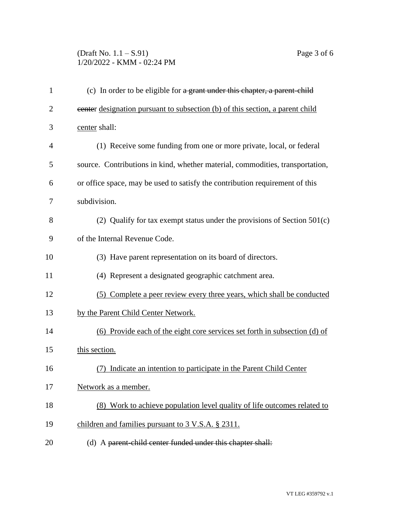## (Draft No. 1.1 – S.91) Page 3 of 6 1/20/2022 - KMM - 02:24 PM

| $\mathbf{1}$   | (c) In order to be eligible for $a$ grant under this chapter, a parent-child  |
|----------------|-------------------------------------------------------------------------------|
| $\overline{2}$ | eenter designation pursuant to subsection (b) of this section, a parent child |
| 3              | center shall:                                                                 |
| 4              | (1) Receive some funding from one or more private, local, or federal          |
| 5              | source. Contributions in kind, whether material, commodities, transportation, |
| 6              | or office space, may be used to satisfy the contribution requirement of this  |
| 7              | subdivision.                                                                  |
| 8              | (2) Qualify for tax exempt status under the provisions of Section $501(c)$    |
| 9              | of the Internal Revenue Code.                                                 |
| 10             | (3) Have parent representation on its board of directors.                     |
| 11             | (4) Represent a designated geographic catchment area.                         |
| 12             | (5) Complete a peer review every three years, which shall be conducted        |
| 13             | by the Parent Child Center Network.                                           |
| 14             | (6) Provide each of the eight core services set forth in subsection (d) of    |
| 15             | this section.                                                                 |
| 16             | Indicate an intention to participate in the Parent Child Center               |
| 17             | Network as a member.                                                          |
| 18             | (8) Work to achieve population level quality of life outcomes related to      |
| 19             | children and families pursuant to 3 V.S.A. § 2311.                            |
| 20             | (d) A parent-child center funded under this chapter shall:                    |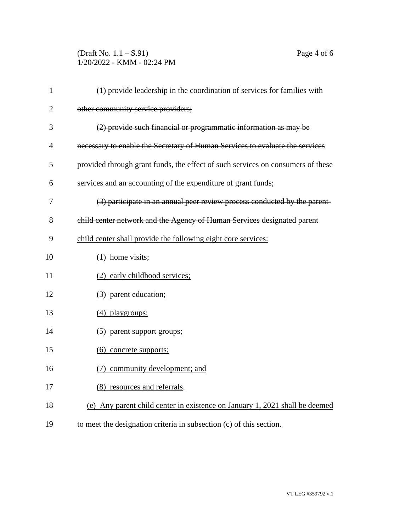## (Draft No. 1.1 – S.91) Page 4 of 6 1/20/2022 - KMM - 02:24 PM

| $\mathbf{1}$   | (1) provide leadership in the coordination of services for families with        |
|----------------|---------------------------------------------------------------------------------|
| $\overline{2}$ | other community service providers;                                              |
| 3              | (2) provide such financial or programmatic information as may be                |
| $\overline{4}$ | necessary to enable the Secretary of Human Services to evaluate the services    |
| 5              | provided through grant funds, the effect of such services on consumers of these |
| 6              | services and an accounting of the expenditure of grant funds;                   |
| 7              | (3) participate in an annual peer review process conducted by the parent-       |
| 8              | child center network and the Agency of Human Services designated parent         |
| 9              | child center shall provide the following eight core services:                   |
| 10             | $(1)$ home visits;                                                              |
| 11             | (2) early childhood services;                                                   |
| 12             | (3) parent education;                                                           |
| 13             | (4) playgroups;                                                                 |
| 14             | (5) parent support groups;                                                      |
| 15             | (6) concrete supports;                                                          |
| 16             | (7) community development; and                                                  |
| 17             | (8) resources and referrals.                                                    |
| 18             | (e) Any parent child center in existence on January 1, 2021 shall be deemed     |
| 19             | to meet the designation criteria in subsection (c) of this section.             |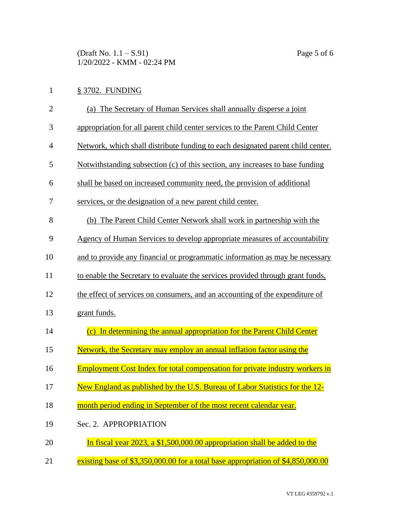(Draft No. 1.1 – S.91) Page 5 of 6 1/20/2022 - KMM - 02:24 PM

| 1              | § 3702. FUNDING                                                                     |
|----------------|-------------------------------------------------------------------------------------|
| $\overline{2}$ | (a) The Secretary of Human Services shall annually disperse a joint                 |
| 3              | appropriation for all parent child center services to the Parent Child Center       |
| 4              | Network, which shall distribute funding to each designated parent child center.     |
| 5              | Notwithstanding subsection (c) of this section, any increases to base funding       |
| 6              | shall be based on increased community need, the provision of additional             |
| 7              | services, or the designation of a new parent child center.                          |
| 8              | (b) The Parent Child Center Network shall work in partnership with the              |
| 9              | Agency of Human Services to develop appropriate measures of accountability          |
| 10             | and to provide any financial or programmatic information as may be necessary        |
| 11             | to enable the Secretary to evaluate the services provided through grant funds,      |
| 12             | the effect of services on consumers, and an accounting of the expenditure of        |
| 13             | grant funds.                                                                        |
| 14             | (c) In determining the annual appropriation for the Parent Child Center             |
| 15             | Network, the Secretary may employ an annual inflation factor using the              |
| 16             | <b>Employment Cost Index for total compensation for private industry workers in</b> |
| 17             | New England as published by the U.S. Bureau of Labor Statistics for the 12-         |
| 18             | month period ending in September of the most recent calendar year.                  |
| 19             | Sec. 2. APPROPRIATION                                                               |
| 20             | In fiscal year 2023, a \$1,500,000.00 appropriation shall be added to the           |
| 21             | existing base of \$3,350,000.00 for a total base appropriation of \$4,850,000.00    |